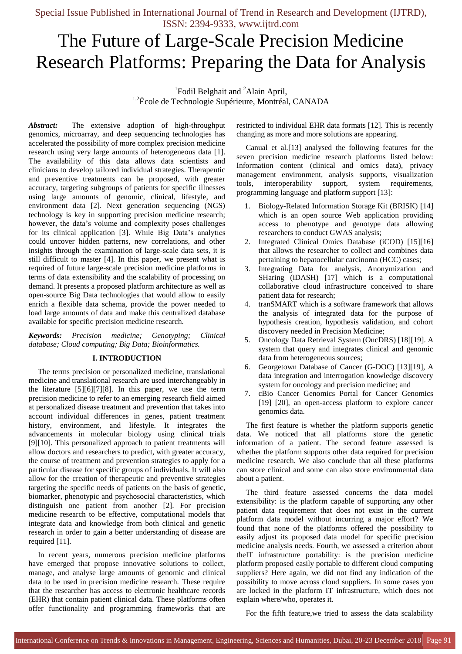# The Future of Large-Scale Precision Medicine Research Platforms: Preparing the Data for Analysis

<sup>1</sup>Fodil Belghait and <sup>2</sup>Alain April, <sup>1,2</sup>École de Technologie Supérieure, Montréal, CANADA

*Abstract:* The extensive adoption of high-throughput genomics, microarray, and deep sequencing technologies has accelerated the possibility of more complex precision medicine research using very large amounts of heterogeneous data [1]. The availability of this data allows data scientists and clinicians to develop tailored individual strategies. Therapeutic and preventive treatments can be proposed, with greater accuracy, targeting subgroups of patients for specific illnesses using large amounts of genomic, clinical, lifestyle, and environment data [2]. Next generation sequencing (NGS) technology is key in supporting precision medicine research; however, the data's volume and complexity poses challenges for its clinical application [3]. While Big Data's analytics could uncover hidden patterns, new correlations, and other insights through the examination of large-scale data sets, it is still difficult to master [4]. In this paper, we present what is required of future large-scale precision medicine platforms in terms of data extensibility and the scalability of processing on demand. It presents a proposed platform architecture as well as open-source Big Data technologies that would allow to easily enrich a flexible data schema, provide the power needed to load large amounts of data and make this centralized database available for specific precision medicine research.

*Keywords: Precision medicine; Genotyping; Clinical database; Cloud computing; Big Data; Bioinformatics.*

#### **I. INTRODUCTION**

The terms precision or personalized medicine, translational medicine and translational research are used interchangeably in the literature [5][6][7][8]. In this paper, we use the term precision medicine to refer to an emerging research field aimed at personalized disease treatment and prevention that takes into account individual differences in genes, patient treatment history, environment, and lifestyle. It integrates the advancements in molecular biology using clinical trials [9][10]. This personalized approach to patient treatments will allow doctors and researchers to predict, with greater accuracy, the course of treatment and prevention strategies to apply for a particular disease for specific groups of individuals. It will also allow for the creation of therapeutic and preventive strategies targeting the specific needs of patients on the basis of genetic, biomarker, phenotypic and psychosocial characteristics, which distinguish one patient from another [2]. For precision medicine research to be effective, computational models that integrate data and knowledge from both clinical and genetic research in order to gain a better understanding of disease are required [11].

In recent years, numerous precision medicine platforms have emerged that propose innovative solutions to collect, manage, and analyse large amounts of genomic and clinical data to be used in precision medicine research. These require that the researcher has access to electronic healthcare records (EHR) that contain patient clinical data. These platforms often offer functionality and programming frameworks that are restricted to individual EHR data formats [12]. This is recently changing as more and more solutions are appearing.

Canual et al.[13] analysed the following features for the seven precision medicine research platforms listed below: Information content (clinical and omics data), privacy management environment, analysis supports, visualization tools, interoperability support, system requirements, programming language and platform support [13]:

- 1. Biology-Related Information Storage Kit (BRISK) [14] which is an open source Web application providing access to phenotype and genotype data allowing researchers to conduct GWAS analysis;
- Integrated Clinical Omics Database (iCOD) [15][16] that allows the researcher to collect and combines data pertaining to hepatocellular carcinoma (HCC) cases;
- 3. Integrating Data for analysis, Anonymization and SHaring (iDASH) [17] which is a computational collaborative cloud infrastructure conceived to share patient data for research;
- 4. tranSMART which is a software framework that allows the analysis of integrated data for the purpose of hypothesis creation, hypothesis validation, and cohort discovery needed in Precision Medicine;
- 5. Oncology Data Retrieval System (OncDRS) [18][19]. A system that query and integrates clinical and genomic data from heterogeneous sources;
- 6. Georgetown Database of Cancer (G-DOC) [13][19], A data integration and interrogation knowledge discovery system for oncology and precision medicine; and
- 7. cBio Cancer Genomics Portal for Cancer Genomics [19] [20], an open-access platform to explore cancer genomics data.

The first feature is whether the platform supports genetic data. We noticed that all platforms store the genetic information of a patient. The second feature assessed is whether the platform supports other data required for precision medicine research. We also conclude that all these platforms can store clinical and some can also store environmental data about a patient.

The third feature assessed concerns the data model extensibility: is the platform capable of supporting any other patient data requirement that does not exist in the current platform data model without incurring a major effort? We found that none of the platforms offered the possibility to easily adjust its proposed data model for specific precision medicine analysis needs. Fourth, we assessed a criterion about theIT infrastructure portability: is the precision medicine platform proposed easily portable to different cloud computing suppliers? Here again, we did not find any indication of the possibility to move across cloud suppliers. In some cases you are locked in the platform IT infrastructure, which does not explain where/who, operates it.

For the fifth feature,we tried to assess the data scalability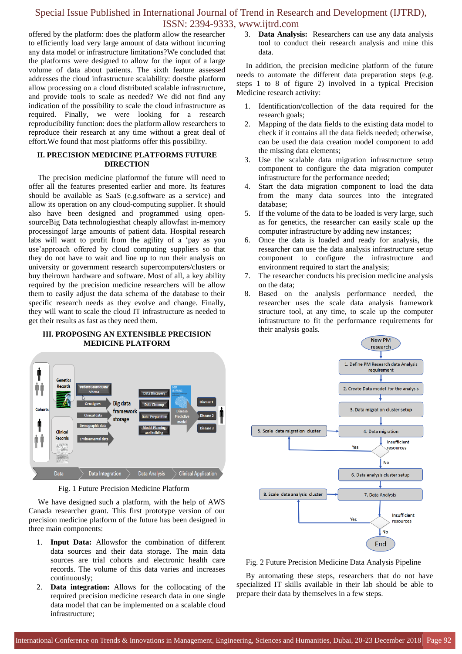offered by the platform: does the platform allow the researcher to efficiently load very large amount of data without incurring any data model or infrastructure limitations?We concluded that the platforms were designed to allow for the input of a large volume of data about patients. The sixth feature assessed addresses the cloud infrastructure scalability: doesthe platform allow processing on a cloud distributed scalable infrastructure, and provide tools to scale as needed? We did not find any indication of the possibility to scale the cloud infrastructure as required. Finally, we were looking for a research reproducibility function: does the platform allow researchers to reproduce their research at any time without a great deal of effort.We found that most platforms offer this possibility.

## **II. PRECISION MEDICINE PLATFORMS FUTURE DIRECTION**

The precision medicine platformof the future will need to offer all the features presented earlier and more. Its features should be available as SaaS (e.g.software as a service) and allow its operation on any cloud-computing supplier. It should also have been designed and programmed using opensourceBig Data technologiesthat cheaply allowfast in-memory processingof large amounts of patient data. Hospital research labs will want to profit from the agility of a 'pay as you use'approach offered by cloud computing suppliers so that they do not have to wait and line up to run their analysis on university or government research supercomputers/clusters or buy theirown hardware and software. Most of all, a key ability required by the precision medicine researchers will be allow them to easily adjust the data schema of the database to their specific research needs as they evolve and change. Finally, they will want to scale the cloud IT infrastructure as needed to get their results as fast as they need them.

## **III. PROPOSING AN EXTENSIBLE PRECISION MEDICINE PLATFORM**



Fig. 1 Future Precision Medicine Platform

We have designed such a platform, with the help of AWS Canada researcher grant. This first prototype version of our precision medicine platform of the future has been designed in three main components:

- 1. **Input Data:** Allowsfor the combination of different data sources and their data storage. The main data sources are trial cohorts and electronic health care records. The volume of this data varies and increases continuously;
- 2. **Data integration:** Allows for the collocating of the required precision medicine research data in one single data model that can be implemented on a scalable cloud infrastructure;

3. **Data Analysis:** Researchers can use any data analysis tool to conduct their research analysis and mine this data.

In addition, the precision medicine platform of the future needs to automate the different data preparation steps (e.g. steps 1 to 8 of figure 2) involved in a typical Precision Medicine research activity:

- 1. Identification/collection of the data required for the research goals;
- 2. Mapping of the data fields to the existing data model to check if it contains all the data fields needed; otherwise, can be used the data creation model component to add the missing data elements;
- 3. Use the scalable data migration infrastructure setup component to configure the data migration computer infrastructure for the performance needed;
- Start the data migration component to load the data from the many data sources into the integrated database;
- 5. If the volume of the data to be loaded is very large, such as for genetics, the researcher can easily scale up the computer infrastructure by adding new instances;
- 6. Once the data is loaded and ready for analysis, the researcher can use the data analysis infrastructure setup component to configure the infrastructure and environment required to start the analysis;
- 7. The researcher conducts his precision medicine analysis on the data;
- 8. Based on the analysis performance needed, the researcher uses the scale data analysis framework structure tool, at any time, to scale up the computer infrastructure to fit the performance requirements for their analysis goals.



Fig. 2 Future Precision Medicine Data Analysis Pipeline

By automating these steps, researchers that do not have specialized IT skills available in their lab should be able to prepare their data by themselves in a few steps.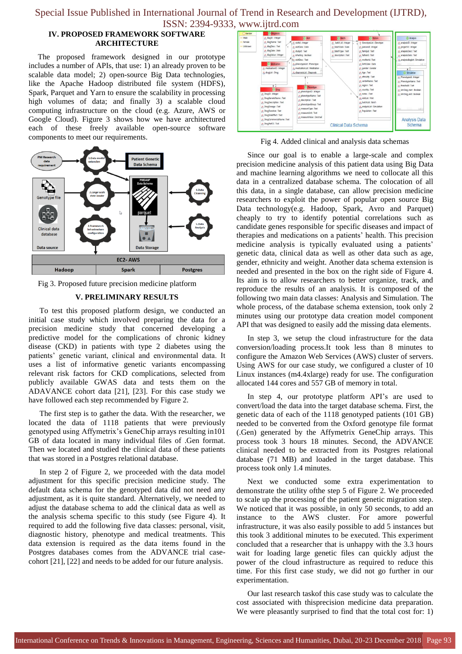## **IV. PROPOSED FRAMEWORK SOFTWARE ARCHITECTURE**

The proposed framework designed in our prototype includes a number of APIs, that use: 1) an already proven to be scalable data model; 2) open-source Big Data technologies, like the Apache Hadoop distributed file system (HDFS), Spark, Parquet and Yarn to ensure the scalability in processing high volumes of data; and finally 3) a scalable cloud computing infrastructure on the cloud (e.g. Azure, AWS or Google Cloud). Figure 3 shows how we have architectured each of these freely available open-source software components to meet our requirements.



Fig 3. Proposed future precision medicine platform

### **V. PRELIMINARY RESULTS**

To test this proposed platform design, we conducted an initial case study which involved preparing the data for a precision medicine study that concerned developing a predictive model for the complications of chronic kidney disease (CKD) in patients with type 2 diabetes using the patients' genetic variant, clinical and environmental data. It uses a list of informative genetic variants encompassing relevant risk factors for CKD complications, selected from publicly available GWAS data and tests them on the ADAVANCE cohort data [21], [23]. For this case study we have followed each step recommended by Figure 2.

The first step is to gather the data. With the researcher, we located the data of 1118 patients that were previously genotyped using Affymetrix's GeneChip arrays resulting in101 GB of data located in many individual files of .Gen format. Then we located and studied the clinical data of these patients that was stored in a Postgres relational database.

In step 2 of Figure 2, we proceeded with the data model adjustment for this specific precision medicine study. The default data schema for the genotyped data did not need any adjustment, as it is quite standard. Alternatively, we needed to adjust the database schema to add the clinical data as well as the analysis schema specific to this study (see Figure 4). It required to add the following five data classes: personal, visit, diagnostic history, phenotype and medical treatments. This data extension is required as the data items found in the Postgres databases comes from the ADVANCE trial casecohort [21], [22] and needs to be added for our future analysis.



Fig 4. Added clinical and analysis data schemas

Since our goal is to enable a large-scale and complex precision medicine analysis of this patient data using Big Data and machine learning algorithms we need to collocate all this data in a centralized database schema. The colocation of all this data, in a single database, can allow precision medicine researchers to exploit the power of popular open source Big Data technology(e.g. Hadoop, Spark, Avro and Parquet) cheaply to try to identify potential correlations such as candidate genes responsible for specific diseases and impact of therapies and medications on a patients' health. This precision medicine analysis is typically evaluated using a patients' genetic data, clinical data as well as other data such as age, gender, ethnicity and weight. Another data schema extension is needed and presented in the box on the right side of Figure 4. Its aim is to allow researchers to better organize, track, and reproduce the results of an analysis. It is composed of the following two main data classes: Analysis and Simulation. The whole process, of the database schema extension, took only 2 minutes using our prototype data creation model component API that was designed to easily add the missing data elements.

In step 3, we setup the cloud infrastructure for the data conversion/loading process.It took less than 8 minutes to configure the Amazon Web Services (AWS) cluster of servers. Using AWS for our case study, we configured a cluster of 10 Linux instances (m4.4xlarge) ready for use. The configuration allocated 144 cores and 557 GB of memory in total.

In step 4, our prototype platform API's are used to convert/load the data into the target database schema. First, the genetic data of each of the 1118 genotyped patients (101 GB) needed to be converted from the Oxford genotype file format (.Gen) generated by the Affymetrix GeneChip arrays. This process took 3 hours 18 minutes. Second, the ADVANCE clinical needed to be extracted from its Postgres relational database (71 MB) and loaded in the target database. This process took only 1.4 minutes.

Next we conducted some extra experimentation to demonstrate the utility ofthe step 5 of Figure 2. We proceeded to scale up the processing of the patient genetic migration step. We noticed that it was possible, in only 50 seconds, to add an instance to the AWS cluster. For amore powerful infrastructure, it was also easily possible to add 5 instances but this took 3 additional minutes to be executed. This experiment concluded that a researcher that is unhappy with the 3.3 hours wait for loading large genetic files can quickly adjust the power of the cloud infrastructure as required to reduce this time. For this first case study, we did not go further in our experimentation.

Our last research taskof this case study was to calculate the cost associated with thisprecision medicine data preparation. We were pleasantly surprised to find that the total cost for: 1)